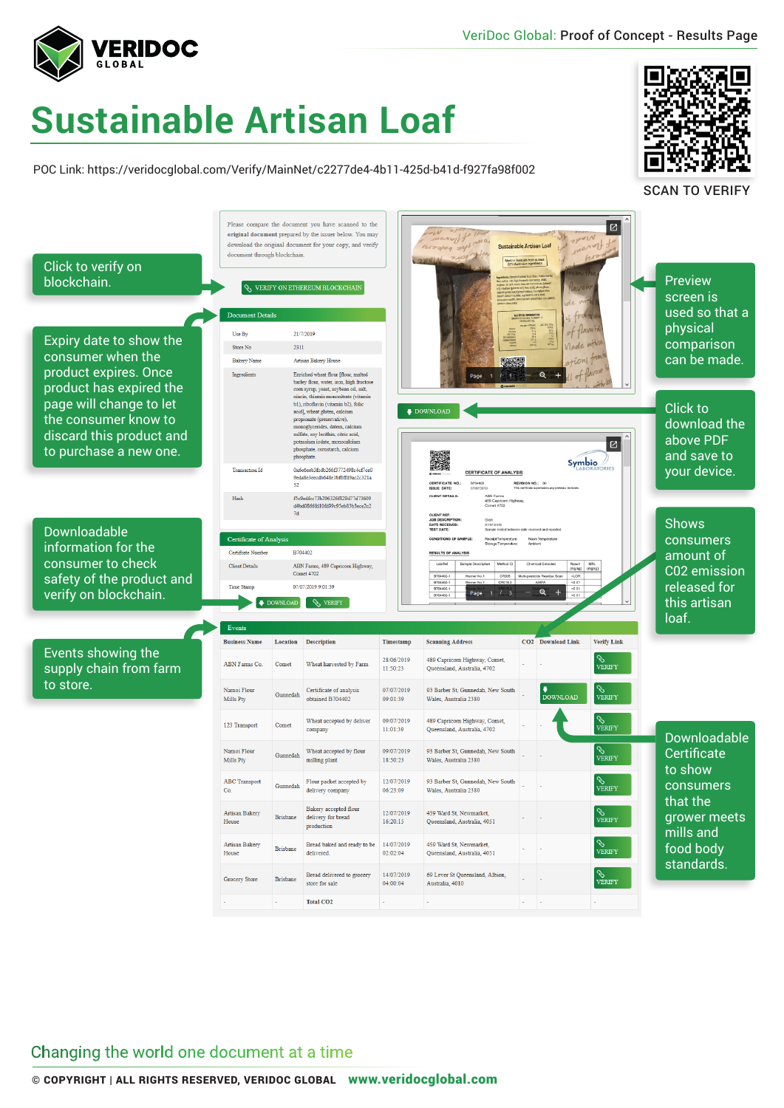

## **Sustainable Artisan Loaf**

POC Link: https://veridocglobal.com/Verify/MainNet/c2277de4-4b11-425d-b41d-f927fa98f002



SCAN TO VERIFY



## Changing the world one document at a time